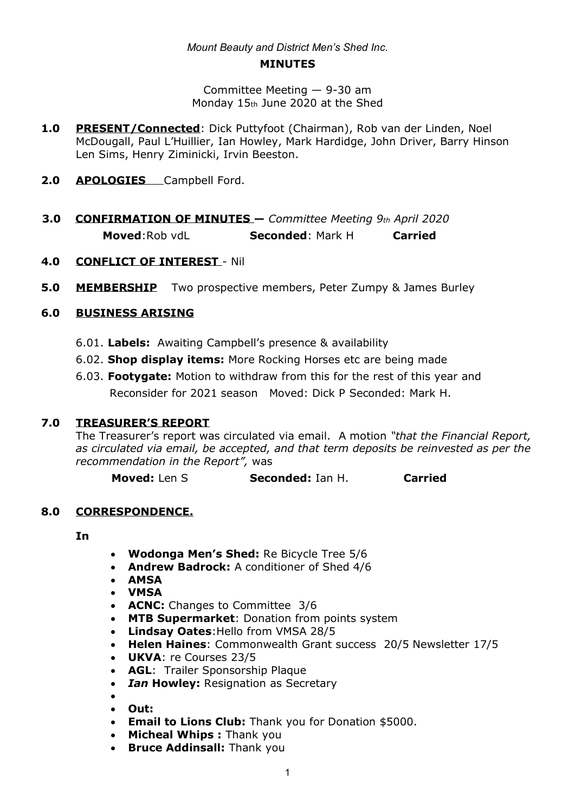# *Mount Beauty and District Men's Shed Inc.*

#### **MINUTES**

Committee Meeting  $-$  9-30 am Monday 15th June 2020 at the Shed

- **1.0 PRESENT/Connected**: Dick Puttyfoot (Chairman), Rob van der Linden, Noel McDougall, Paul L'Huillier, Ian Howley, Mark Hardidge, John Driver, Barry Hinson Len Sims, Henry Ziminicki, Irvin Beeston.
- 2.0 **APOLOGIES** Campbell Ford.
- **3.0 CONFIRMATION OF MINUTES** Committee Meeting 9<sup>th</sup> April 2020 **Moved**:Rob vdL **Seconded**: Mark H **Carried**
- **4.0 CONFLICT OF INTEREST**  Nil
- **5.0 MEMBERSHIP** Two prospective members, Peter Zumpy & James Burley

# **6.0 BUSINESS ARISING**

- 6.01. **Labels:** Awaiting Campbell's presence & availability
- 6.02. **Shop display items:** More Rocking Horses etc are being made
- 6.03. **Footygate:** Motion to withdraw from this for the rest of this year and Reconsider for 2021 season Moved: Dick P Seconded: Mark H.

# **7.0 TREASURER¶S REPORT**

The Treasurer's report was circulated via email. A motion "*that the Financial Report, as circulated via email, be accepted, and that term deposits be reinvested as per the recommendation in the Report",* was

**Moved:** Len S **Seconded:** Ian H. **Carried** 

#### **8.0 CORRESPONDENCE.**

**In**

- **Wodonga Men's Shed:** Re Bicycle Tree 5/6
- x **Andrew Badrock:** A conditioner of Shed 4/6
- x **AMSA**
- x **VMSA**
- **ACNC:** Changes to Committee 3/6
- **MTB Supermarket:** Donation from points system
- x **Lindsay Oates**:Hello from VMSA 28/5
- x **Helen Haines**: Commonwealth Grant success 20/5 Newsletter 17/5
- **UKVA: re Courses 23/5**
- **AGL:** Trailer Sponsorship Plaque
- *Ian Howley: Resignation as Secretary*
- $\bullet$
- x **Out:**
- **Email to Lions Club:** Thank you for Donation \$5000.
- x **Micheal Whips :** Thank you
- **Bruce Addinsall:** Thank you